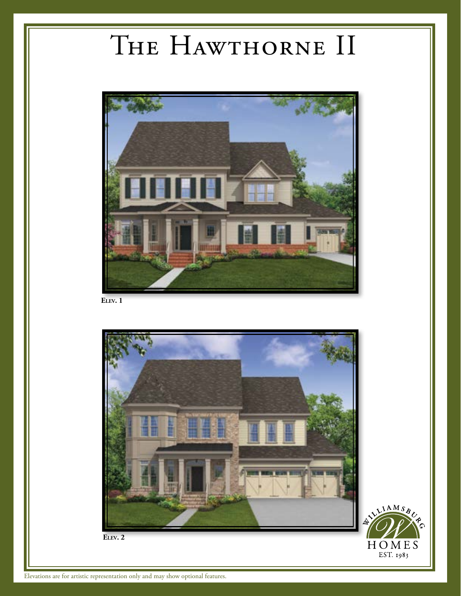## The Hawthorne II



**Elev. 1**